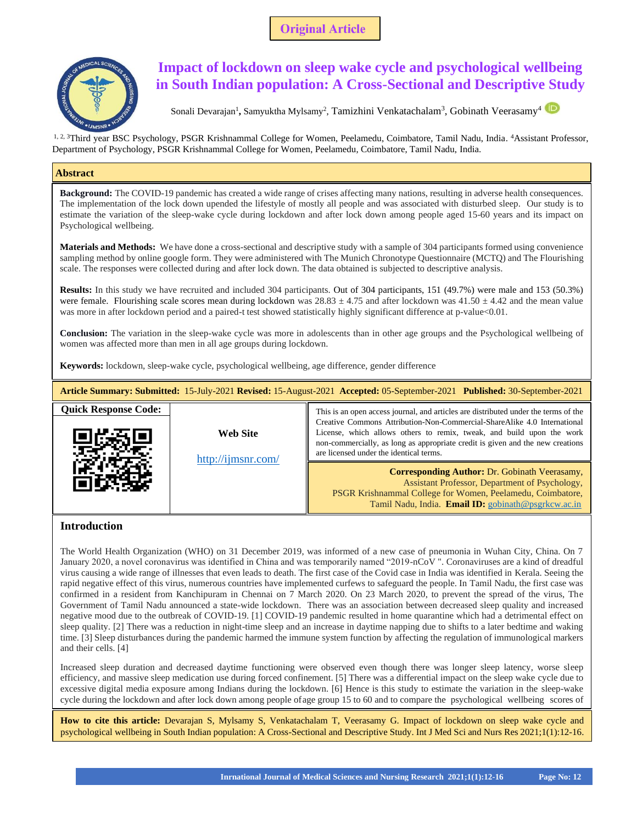**Original Article** 



# **Impact of lockdown on sleep wake cycle and psychological wellbeing in South Indian population: A Cross-Sectional and Descriptive Study**

Sonali Devarajan<sup>1</sup>, Samyuktha Mylsamy<sup>2</sup>, Tamizhini Venkatachalam<sup>3</sup>, Gobinath Veerasamy<sup>4</sup>

<sup>1, 2, 3</sup>Third year BSC Psychology, PSGR Krishnammal College for Women, Peelamedu, Coimbatore, Tamil Nadu, India. <sup>4</sup>Assistant Professor, Department of Psychology, PSGR Krishnammal College for Women, Peelamedu, Coimbatore, Tamil Nadu, India.

# **Abstract**

**Background:** The COVID-19 pandemic has created a wide range of crises affecting many nations, resulting in adverse health consequences. The implementation of the lock down upended the lifestyle of mostly all people and was associated with disturbed sleep. Our study is to estimate the variation of the sleep-wake cycle during lockdown and after lock down among people aged 15-60 years and its impact on Psychological wellbeing.

**Materials and Methods:** We have done a cross-sectional and descriptive study with a sample of 304 participants formed using convenience sampling method by online google form. They were administered with The Munich Chronotype Questionnaire (MCTQ) and The Flourishing scale. The responses were collected during and after lock down. The data obtained is subjected to descriptive analysis.

**Results:** In this study we have recruited and included 304 participants. Out of 304 participants, 151 (49.7%) were male and 153 (50.3%) were female. Flourishing scale scores mean during lockdown was  $28.83 \pm 4.75$  and after lockdown was  $41.50 \pm 4.42$  and the mean value was more in after lockdown period and a paired-t test showed statistically highly significant difference at p-value<0.01.

**Conclusion:** The variation in the sleep-wake cycle was more in adolescents than in other age groups and the Psychological wellbeing of women was affected more than men in all age groups during lockdown.

**Keywords:** lockdown, sleep-wake cycle, psychological wellbeing, age difference, gender difference

| Article Summary: Submitted: 15-July-2021 Revised: 15-August-2021 Accepted: 05-September-2021 Published: 30-September-2021 |                                |                                                                                                                                                                                                                                                                                                                                                                       |  |  |
|---------------------------------------------------------------------------------------------------------------------------|--------------------------------|-----------------------------------------------------------------------------------------------------------------------------------------------------------------------------------------------------------------------------------------------------------------------------------------------------------------------------------------------------------------------|--|--|
| <b>Quick Response Code:</b>                                                                                               | Web Site<br>http://ijmsnr.com/ | This is an open access journal, and articles are distributed under the terms of the<br>Creative Commons Attribution-Non-Commercial-ShareAlike 4.0 International<br>License, which allows others to remix, tweak, and build upon the work<br>non-commercially, as long as appropriate credit is given and the new creations<br>are licensed under the identical terms. |  |  |
|                                                                                                                           |                                | <b>Corresponding Author: Dr. Gobinath Veerasamy,</b><br>Assistant Professor, Department of Psychology,<br>PSGR Krishnammal College for Women, Peelamedu, Coimbatore,<br>Tamil Nadu, India. Email ID: gobinath@psgrkcw.ac.in                                                                                                                                           |  |  |

# **Introduction**

 $\overline{\phantom{a}}$ 

The World Health Organization (WHO) on 31 December 2019, was informed of a new case of pneumonia in Wuhan City, China. On 7 January 2020, a novel coronavirus was identified in China and was temporarily named "2019-nCoV ". Coronaviruses are a kind of dreadful virus causing a wide range of illnesses that even leads to death. The first case of the Covid case in India was identified in Kerala. Seeing the rapid negative effect of this virus, numerous countries have implemented curfews to safeguard the people. In Tamil Nadu, the first case was confirmed in a resident from Kanchipuram in Chennai on 7 March 2020. On 23 March 2020, to prevent the spread of the virus, The Government of Tamil Nadu announced a state-wide lockdown. There was an association between decreased sleep quality and increased negative mood due to the outbreak of COVID-19. [1] COVID-19 pandemic resulted in home quarantine which had a detrimental effect on sleep quality. [2] There was a reduction in night-time sleep and an increase in daytime napping due to shifts to a later bedtime and waking time. [3] Sleep disturbances during the pandemic harmed the immune system function by affecting the regulation of immunological markers and their cells. [4]

Increased sleep duration and decreased daytime functioning were observed even though there was longer sleep latency, worse sleep efficiency, and massive sleep medication use during forced confinement. [5] There was a differential impact on the sleep wake cycle due to excessive digital media exposure among Indians during the lockdown. [6] Hence is this study to estimate the variation in the sleep-wake cycle during the lockdown and after lock down among people ofage group 15 to 60 and to compare the psychological wellbeing scores of

**How to cite this article:** Devarajan S, Mylsamy S, Venkatachalam T, Veerasamy G. Impact of lockdown on sleep wake cycle and psychological wellbeing in South Indian population: A Cross-Sectional and Descriptive Study. Int J Med Sci and Nurs Res 2021;1(1):12-16.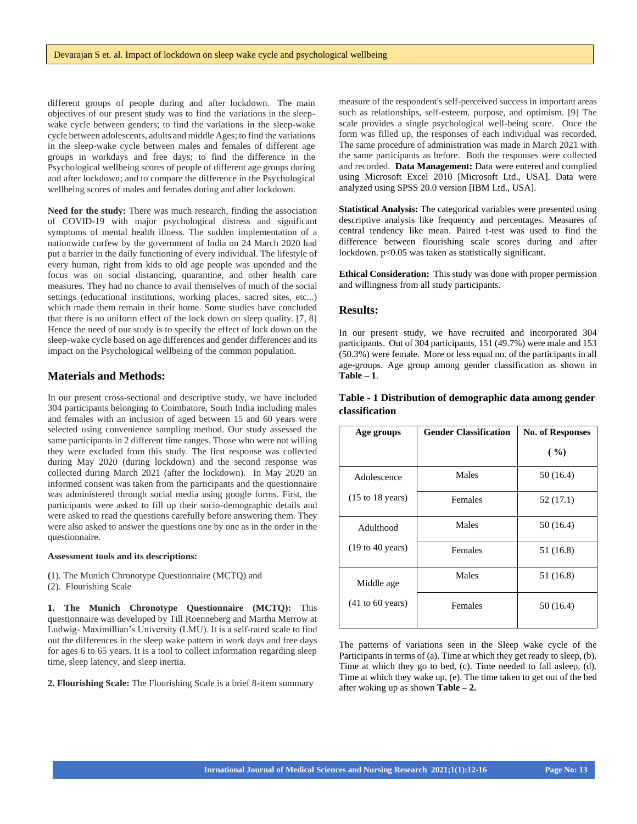different groups of people during and after lockdown. The main objectives of our present study was to find the variations in the sleepwake cycle between genders; to find the variations in the sleep-wake cycle between adolescents, adults and middle Ages; to find the variations in the sleep-wake cycle between males and females of different age groups in workdays and free days; to find the difference in the Psychological wellbeing scores of people of different age groups during and after lockdown; and to compare the difference in the Psychological wellbeing scores of males and females during and after lockdown.

**Need for the study:** There was much research, finding the association of COVID-19 with major psychological distress and significant symptoms of mental health illness. The sudden implementation of a nationwide curfew by the government of India on 24 March 2020 had put a barrier in the daily functioning of every individual. The lifestyle of every human, right from kids to old age people was upended and the focus was on social distancing, quarantine, and other health care measures. They had no chance to avail themselves of much of the social settings (educational institutions, working places, sacred sites, etc...) which made them remain in their home. Some studies have concluded that there is no uniform effect of the lock down on sleep quality. [7, 8] Hence the need of our study is to specify the effect of lock down on the sleep-wake cycle based on age differences and gender differences and its impact on the Psychological wellbeing of the common population.

# **Materials and Methods:**

In our present cross-sectional and descriptive study, we have included 304 participants belonging to Coimbatore, South India including males and females with an inclusion of aged between 15 and 60 years were selected using convenience sampling method. Our study assessed the same participants in 2 different time ranges. Those who were not willing they were excluded from this study. The first response was collected during May 2020 (during lockdown) and the second response was collected during March 2021 (after the lockdown). In May 2020 an informed consent was taken from the participants and the questionnaire was administered through social media using google forms. First, the participants were asked to fill up their socio-demographic details and were asked to read the questions carefully before answering them. They were also asked to answer the questions one by one as in the order in the questionnaire.

#### **Assessment tools and its descriptions:**

- **(**1). The Munich Chronotype Questionnaire (MCTQ) and
- (2). Flourishing Scale

**1. The Munich Chronotype Questionnaire (MCTQ):** This questionnaire was developed by Till Roenneberg and Martha Merrow at Ludwig- Maximillian's University (LMU). It is a self-rated scale to find out the differences in the sleep wake pattern in work days and free days for ages 6 to 65 years. It is a tool to collect information regarding sleep time, sleep latency, and sleep inertia.

**2. Flourishing Scale:** The Flourishing Scale is a brief 8-item summary

measure of the respondent's self-perceived success in important areas such as relationships, self-esteem, purpose, and optimism. [9] The scale provides a single psychological well-being score. Once the form was filled up, the responses of each individual was recorded. The same procedure of administration was made in March 2021 with the same participants as before. Both the responses were collected and recorded. **Data Management:** Data were entered and complied using Microsoft Excel 2010 [Microsoft Ltd., USA]. Data were analyzed using SPSS 20.0 version [IBM Ltd., USA].

**Statistical Analysis:** The categorical variables were presented using descriptive analysis like frequency and percentages. Measures of central tendency like mean. Paired t-test was used to find the difference between flourishing scale scores during and after lockdown. p<0.05 was taken as statistically significant.

**Ethical Consideration:** This study was done with proper permission and willingness from all study participants.

#### **Results:**

In our present study, we have recruited and incorporated 304 participants. Out of 304 participants, 151 (49.7%) were male and 153 (50.3%) were female. More or less equal no. of the participants in all age-groups. Age group among gender classification as shown in **Table – 1**.

| Age groups                          | <b>Gender Classification</b> | <b>No. of Responses</b> |  |  |
|-------------------------------------|------------------------------|-------------------------|--|--|
|                                     |                              | (9/0)                   |  |  |
| Adolescence                         | Males                        | 50 (16.4)               |  |  |
| $(15 \text{ to } 18 \text{ years})$ | Females                      | 52 (17.1)               |  |  |
| Adulthood                           | Males                        | 50 (16.4)               |  |  |
| (19 to 40 years)                    | Females                      | 51 (16.8)               |  |  |
| Middle age                          | Males                        | 51 (16.8)               |  |  |
| $(41 \text{ to } 60 \text{ years})$ | Females                      | 50 (16.4)               |  |  |
|                                     |                              |                         |  |  |

## **Table - 1 Distribution of demographic data among gender classification**

The patterns of variations seen in the Sleep wake cycle of the Participants in terms of (a). Time at which they get ready to sleep, (b). Time at which they go to bed, (c). Time needed to fall asleep, (d). Time at which they wake up, (e). The time taken to get out of the bed after waking up as shown **Table – 2.**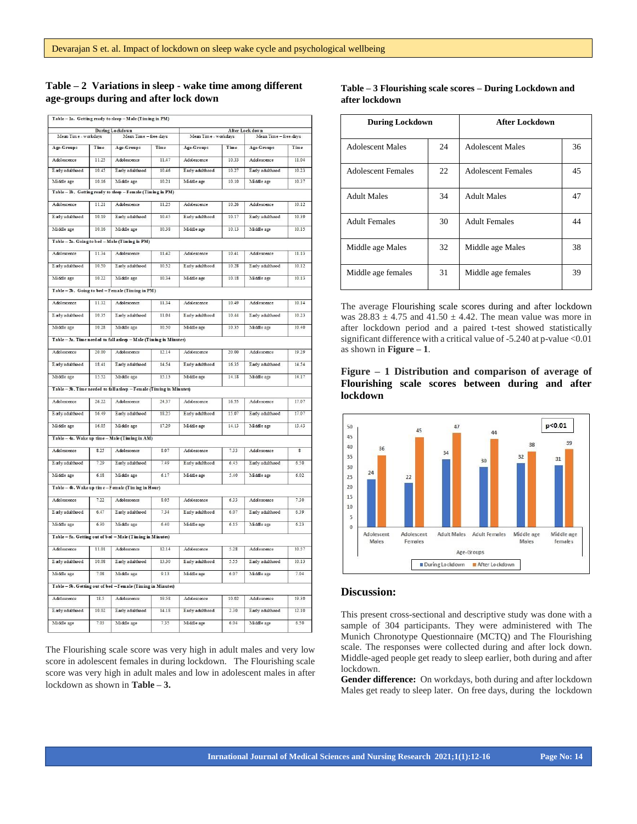# **Table – 2 Variations in sleep - wake time among different age-groups during and after lock down**

|                        |       | Table - la. Getting ready to sleep - Male (Timing in PM)             |                       |                 |       |                   |       |
|------------------------|-------|----------------------------------------------------------------------|-----------------------|-----------------|-------|-------------------|-------|
| <b>During Lockdown</b> |       | After Lock down<br>Mean Time - workdays<br>Mean Time - free-days     |                       |                 |       |                   |       |
| Mean Time - workdays   |       |                                                                      | Mean Time - free-days |                 | Time  |                   | Time  |
| Age-Groups             | Time  | Age-Groups                                                           | Time                  | Age-Groups      |       | <b>Age-Groups</b> |       |
| Adolescence            | 11.25 | Adolescence                                                          | 11.47                 | Adolescence     | 10.33 | Adolescence       | 11.04 |
| E arly adulthood       | 10.45 | Early adulthood                                                      | 10.46                 | Early adulthood | 10.27 | Early adulthood   | 10.23 |
| Middle age             | 10.16 | Middle age                                                           | 10.21                 | Middle age      | 10.10 | Middle age        | 10.37 |
|                        |       | Table - 1b. Getting ready to sleep - Female (Timing in PM)           |                       |                 |       |                   |       |
| Adolescence            | 11.21 | Adolescence                                                          | 11 25                 | Adolescence     | 10 26 | Adolescence       | 1012  |
| Early adulthood        | 10.19 | Early adulthood                                                      | 10.45                 | Early adulthood | 10.17 | Early adulthood   | 10.39 |
| Middle age             | 10.16 | Middle age                                                           | 10.38                 | Middle age      | 10.13 | Middle age        | 10.15 |
|                        |       | Table - 2a. Going to bed - Male (Timing in PM)                       |                       |                 |       |                   |       |
| Adolescence            | 11.34 | Adolescence                                                          | 11.42                 | Adolescence     | 10.41 | Adolescence       | 11.13 |
| E arly adulthood       | 10.50 | Early adulthood                                                      | 10.52                 | Early adulthood | 10.28 | Early adulthood   | 10.12 |
| Middle age             | 10.22 | Middle age                                                           | 10.34                 | Middle age      | 10.18 | Middle age        | 10.13 |
|                        |       | Table - 2b. Going to bed - Female (Timing in PM)                     |                       |                 |       |                   |       |
| Adolescence            | 11.32 | Adolescence                                                          | 11.34                 | Adolescence     | 10.49 | Adolescence       | 10.14 |
| E arly adulthood       | 10.35 | Early adulthood                                                      | 11.04                 | Early adulthood | 10.44 | Early adulthood   | 10.23 |
| Middle age             | 10.28 | Middle age                                                           | 10.50                 | Middle age      | 10.35 | Middle age        | 10.40 |
|                        |       |                                                                      |                       |                 |       |                   |       |
|                        |       | Table - 3a. Time needed to fall asleep - Male (Timing in Minutes)    |                       |                 |       |                   |       |
| Adolescence            | 20.00 | Adolescence                                                          | 12.14                 | Adolescence     | 20.00 | Adolescence       | 19.29 |
| E arly adulthood       | 18.41 | Early adulthood                                                      | 14.54                 | Early adulthood | 16.35 | Early adulthood   | 14.54 |
| Middle age             | 15.52 | Middle age                                                           | 15.13                 | Middle age      | 14.18 | Middle age        | 14.17 |
|                        |       | Table - 3b. Time needed to fall a sleep - Female (Timing in Minutes) |                       |                 |       |                   |       |
| Adolescence            | 26.22 | Adolescence                                                          | 24.37                 | Adolescence     | 16.55 | Adolescence       | 17.07 |
| Earlyadulthood         | 16.49 | Early adulthood                                                      | 18.25                 | Early adulthood | 15.07 | Early adulthood   | 17.07 |
| Middle age             | 16.05 | Middle age                                                           | 17.29                 | Middle age      | 14.13 | Middle age        | 13.43 |
|                        |       | Table - 4a. Wake up time - Male (Timing in AM)                       |                       |                 |       |                   |       |
| Adolescence            | 8.25  | Adolescence                                                          | 8.07                  | Adolescence     | 7.33  | Adolescence       | s     |
| E arly adulthood       | 7.29  | Early adulthood                                                      | 7.49                  | Early adulthood | 6.45  | Early adulthood   | 6.50  |
| Middle age             | 618   | Middle age                                                           | 617                   | Middle age      | 5.40  | Middle age        | 602   |
|                        |       |                                                                      |                       |                 |       |                   |       |
|                        |       | Table - 4b. Wake up time - Female (Timing in Hour)                   |                       |                 |       |                   |       |
| Adolescence            | 7.22  | Adolescence                                                          | 8.05                  | Adolescence     | 6.33  | Adolescence       | 7.30  |
| E arly adulthood       | 6.47  | Early adulthood                                                      | 7.34                  | Early adulthood | 6.07  | Early adulthood   | 6.39  |
| Middle age             | 6.30  | Middle age                                                           | 6.40                  | Middle age      | 6.15  | Middle age        | 6.23  |
|                        |       | Table - 5a. Getting out of bed - Male (Timing in Minutes)            |                       |                 |       |                   |       |
| Adolescence            | 11.01 | Adolescence                                                          | 12.14                 | Adolescence     | 5.28  | Adolescence       | 10.57 |
| Earlyadulthood         | 10.08 | Early adulthood                                                      | 13 30                 | Early adulthood | 5.55  | Early adulthood   | 1013  |
| Middle age             | 7.08  | Middle age                                                           | 9.13                  | Middle age      | 6.07  | Middle age        | 7.04  |
|                        |       | Table - 5b. Getting out of bed - Female (Timing in Minutes)          |                       |                 |       |                   |       |
| Adolescence            | 18.5  | Adolescence                                                          | 19.58                 | Adolescence     | 10.02 | Adolescence       | 19.30 |
| Early adulthood        | 10.02 | Early adulthood                                                      | 14.18                 | Early adulthood | 2.30  | Early adulthood   | 12.10 |
| Middle age             | 7.03  | Middle age                                                           | 7.35                  | Middle age      | 6.04  | Middle age        | 6.50  |
|                        |       |                                                                      |                       |                 |       |                   |       |

The Flourishing scale score was very high in adult males and very low score in adolescent females in during lockdown. The Flourishing scale score was very high in adult males and low in adolescent males in after lockdown as shown in **Table – 3.**

**Table – 3 Flourishing scale scores – During Lockdown and after lockdown**

| <b>During Lockdown</b>    |    | <b>After Lockdown</b>     |    |  |
|---------------------------|----|---------------------------|----|--|
| <b>Adolescent Males</b>   | 24 | <b>Adolescent Males</b>   | 36 |  |
| <b>Adolescent Females</b> | 22 | <b>Adolescent Females</b> | 45 |  |
| <b>Adult Males</b>        | 34 | <b>Adult Males</b>        | 47 |  |
| <b>Adult Females</b>      | 30 | <b>Adult Females</b>      | 44 |  |
| Middle age Males          | 32 | Middle age Males          | 38 |  |
| Middle age females        | 31 | Middle age females        | 39 |  |

The average Flourishing scale scores during and after lockdown was  $28.83 \pm 4.75$  and  $41.50 \pm 4.42$ . The mean value was more in after lockdown period and a paired t-test showed statistically significant difference with a critical value of -5.240 at p-value <0.01 as shown in **Figure – 1**.

**Figure – 1 Distribution and comparison of average of Flourishing scale scores between during and after lockdown**



## **Discussion:**

This present cross-sectional and descriptive study was done with a sample of 304 participants. They were administered with The Munich Chronotype Questionnaire (MCTQ) and The Flourishing scale. The responses were collected during and after lock down. Middle-aged people get ready to sleep earlier, both during and after lockdown.

**Gender difference:** On workdays, both during and after lockdown Males get ready to sleep later. On free days, during the lockdown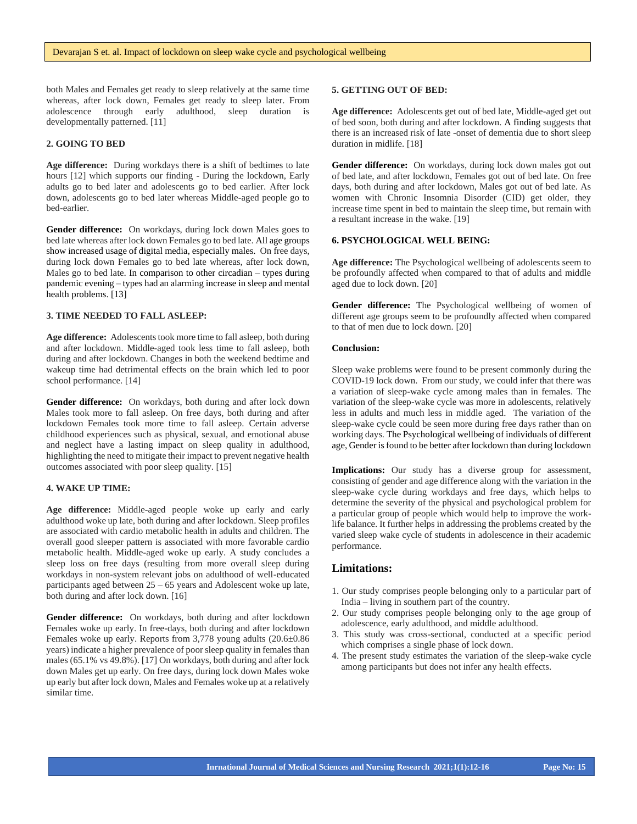both Males and Females get ready to sleep relatively at the same time whereas, after lock down, Females get ready to sleep later. From adolescence through early adulthood, sleep duration is developmentally patterned. [11]

## **2. GOING TO BED**

**Age difference:** During workdays there is a shift of bedtimes to late hours [12] which supports our finding - During the lockdown, Early adults go to bed later and adolescents go to bed earlier. After lock down, adolescents go to bed later whereas Middle-aged people go to bed-earlier.

**Gender difference:** On workdays, during lock down Males goes to bed late whereas after lock down Females go to bed late. All age groups show increased usage of digital media, especially males. On free days, during lock down Females go to bed late whereas, after lock down, Males go to bed late. In comparison to other circadian – types during pandemic evening – types had an alarming increase in sleep and mental health problems. [13]

## **3. TIME NEEDED TO FALL ASLEEP:**

**Age difference:** Adolescents took more time to fall asleep, both during and after lockdown. Middle-aged took less time to fall asleep, both during and after lockdown. Changes in both the weekend bedtime and wakeup time had detrimental effects on the brain which led to poor school performance. [14]

Gender difference: On workdays, both during and after lock down Males took more to fall asleep. On free days, both during and after lockdown Females took more time to fall asleep. Certain adverse childhood experiences such as physical, sexual, and emotional abuse and neglect have a lasting impact on sleep quality in adulthood, highlighting the need to mitigate their impact to prevent negative health outcomes associated with poor sleep quality. [15]

#### **4. WAKE UP TIME:**

**Age difference:** Middle-aged people woke up early and early adulthood woke up late, both during and after lockdown. Sleep profiles are associated with cardio metabolic health in adults and children. The overall good sleeper pattern is associated with more favorable cardio metabolic health. Middle-aged woke up early. A study concludes a sleep loss on free days (resulting from more overall sleep during workdays in non-system relevant jobs on adulthood of well-educated participants aged between 25 – 65 years and Adolescent woke up late, both during and after lock down. [16]

**Gender difference:** On workdays, both during and after lockdown Females woke up early. In free-days, both during and after lockdown Females woke up early. Reports from 3,778 young adults (20.6±0.86 years) indicate a higher prevalence of poor sleep quality in females than males (65.1% vs 49.8%). [17] On workdays, both during and after lock down Males get up early. On free days, during lock down Males woke up early but after lock down, Males and Females woke up at a relatively similar time.

#### **5. GETTING OUT OF BED:**

 of bed soon, both during and after lockdown. A finding suggests that **Age difference:** Adolescents get out of bed late, Middle-aged get out there is an increased risk of late -onset of dementia due to short sleep duration in midlife. [18]

Gender difference: On workdays, during lock down males got out of bed late, and after lockdown, Females got out of bed late. On free days, both during and after lockdown, Males got out of bed late. As women with Chronic Insomnia Disorder (CID) get older, they increase time spent in bed to maintain the sleep time, but remain with a resultant increase in the wake. [19]

## **6. PSYCHOLOGICAL WELL BEING:**

**Age difference:** The Psychological wellbeing of adolescents seem to be profoundly affected when compared to that of adults and middle aged due to lock down. [20]

**Gender difference:** The Psychological wellbeing of women of different age groups seem to be profoundly affected when compared to that of men due to lock down. [20]

#### **Conclusion:**

Sleep wake problems were found to be present commonly during the COVID-19 lock down. From our study, we could infer that there was a variation of sleep-wake cycle among males than in females. The variation of the sleep-wake cycle was more in adolescents, relatively less in adults and much less in middle aged. The variation of the sleep-wake cycle could be seen more during free days rather than on working days. The Psychological wellbeing of individuals of different age, Gender is found to be better after lockdown than during lockdown

**Implications:** Our study has a diverse group for assessment, consisting of gender and age difference along with the variation in the sleep-wake cycle during workdays and free days, which helps to determine the severity of the physical and psychological problem for a particular group of people which would help to improve the worklife balance. It further helps in addressing the problems created by the varied sleep wake cycle of students in adolescence in their academic performance.

## **Limitations:**

- 1. Our study comprises people belonging only to a particular part of India – living in southern part of the country.
- 2. Our study comprises people belonging only to the age group of adolescence, early adulthood, and middle adulthood.
- 3. This study was cross-sectional, conducted at a specific period which comprises a single phase of lock down.
- 4. The present study estimates the variation of the sleep-wake cycle among participants but does not infer any health effects.